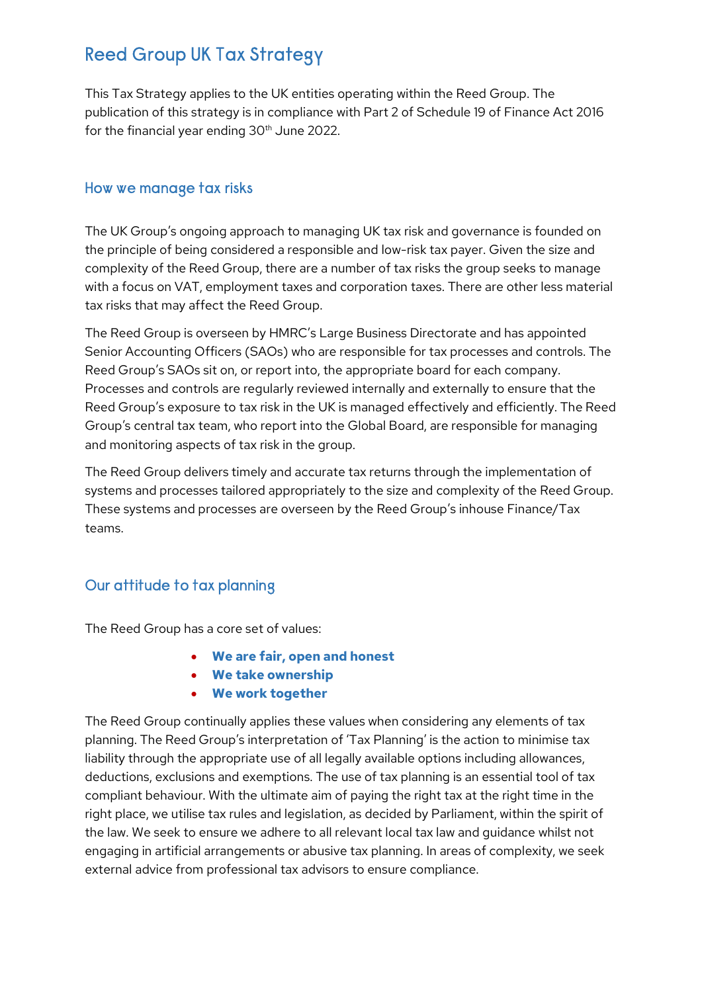# Reed Group UK Tax Strategy

This Tax Strategy applies to the UK entities operating within the Reed Group. The publication of this strategy is in compliance with Part 2 of Schedule 19 of Finance Act 2016 for the financial year ending 30<sup>th</sup> June 2022.

#### How we manage tax risks

The UK Group's ongoing approach to managing UK tax risk and governance is founded on the principle of being considered a responsible and low-risk tax payer. Given the size and complexity of the Reed Group, there are a number of tax risks the group seeks to manage with a focus on VAT, employment taxes and corporation taxes. There are other less material tax risks that may affect the Reed Group.

The Reed Group is overseen by HMRC's Large Business Directorate and has appointed Senior Accounting Officers (SAOs) who are responsible for tax processes and controls. The Reed Group's SAOs sit on, or report into, the appropriate board for each company. Processes and controls are regularly reviewed internally and externally to ensure that the Reed Group's exposure to tax risk in the UK is managed effectively and efficiently. The Reed Group's central tax team, who report into the Global Board, are responsible for managing and monitoring aspects of tax risk in the group.

The Reed Group delivers timely and accurate tax returns through the implementation of systems and processes tailored appropriately to the size and complexity of the Reed Group. These systems and processes are overseen by the Reed Group's inhouse Finance/Tax teams.

### Our attitude to tax planning

The Reed Group has a core set of values:

- We are fair, open and honest
- We take ownership
- We work together

The Reed Group continually applies these values when considering any elements of tax planning. The Reed Group's interpretation of 'Tax Planning' is the action to minimise tax liability through the appropriate use of all legally available options including allowances, deductions, exclusions and exemptions. The use of tax planning is an essential tool of tax compliant behaviour. With the ultimate aim of paying the right tax at the right time in the right place, we utilise tax rules and legislation, as decided by Parliament, within the spirit of the law. We seek to ensure we adhere to all relevant local tax law and guidance whilst not engaging in artificial arrangements or abusive tax planning. In areas of complexity, we seek external advice from professional tax advisors to ensure compliance.